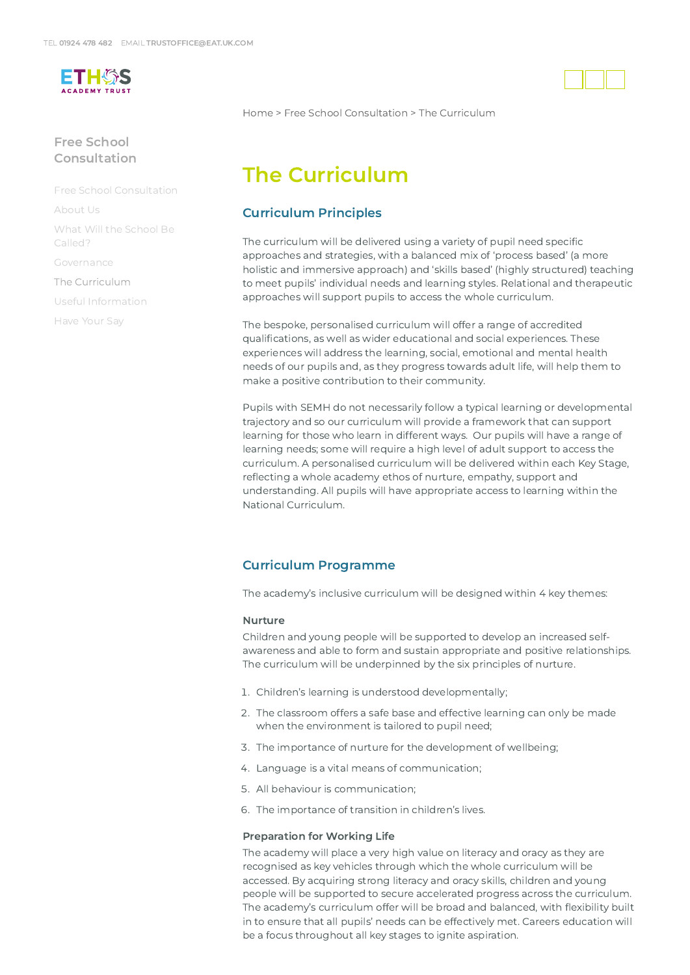

# Free School [Consultation](https://www.eat.uk.com/free-school-consultation/)

Free School [Consultation](https://www.eat.uk.com/free-school-consultation/)

[About](https://www.eat.uk.com/free-school-consultation/about-us/) Us

What Will the School Be [Called?](https://www.eat.uk.com/free-school-consultation/what-will-the-school-be-called/)

[Governance](https://www.eat.uk.com/free-school-consultation/governance/)

The [Curriculum](https://www.eat.uk.com/free-school-consultation/the-curriculum/)

Useful [Information](https://www.eat.uk.com/free-school-consultation/useful-information/)

[Have](https://www.eat.uk.com/free-school-consultation/have-your-say/) Your Say

[Home](https://www.eat.uk.com/) > Free School [Consultation](https://www.eat.uk.com/free-school-consultation/) > The Curriculum

# The Curriculum

# Curriculum Principles

The curriculum will be delivered using a variety of pupil need specific approaches and strategies, with a balanced mix of 'process based' (a more holistic and immersive approach) and 'skills based' (highly structured) teaching to meet pupils' individual needs and learning styles. Relational and therapeutic approaches will support pupils to access the whole curriculum.

The bespoke, personalised curriculum will offer a range of accredited qualifications, as well as wider educational and social experiences. These experiences will address the learning, social, emotional and mental health needs of our pupils and, as they progress towards adult life, will help them to make a positive contribution to their community.

Pupils with SEMH do not necessarily follow a typical learning or developmental trajectory and so our curriculum will provide a framework that can support learning for those who learn in different ways. Our pupils will have a range of learning needs; some will require a high level of adult support to access the curriculum. A personalised curriculum will be delivered within each Key Stage, reflecting a whole academy ethos of nurture, empathy, support and understanding. All pupils will have appropriate access to learning within the National Curriculum.

# Curriculum Programme

The academy's inclusive curriculum will be designed within 4 key themes:

## Nurture

Children and young people will be supported to develop an increased selfawareness and able to form and sustain appropriate and positive relationships. The curriculum will be underpinned by the six principles of nurture.

- 1. Children's learning is understood developmentally;
- 2. The classroom offers a safe base and effective learning can only be made when the environment is tailored to pupil need;
- 3. The importance of nurture for the development of wellbeing;
- 4. Language is a vital means of communication;
- 5. All behaviour is communication;
- . The importance of transition in children's lives.

## Preparation for Working Life

The academy will place a very high value on literacy and oracy as they are recognised as key vehicles through which the whole curriculum will be accessed. By acquiring strong literacy and oracy skills, children and young people will be supported to secure accelerated progress across the curriculum. The academy's curriculum offer will be broad and balanced, with flexibility built in to ensure that all pupils' needs can be effectively met. Careers education will be a focus throughout all key stages to ignite aspiration.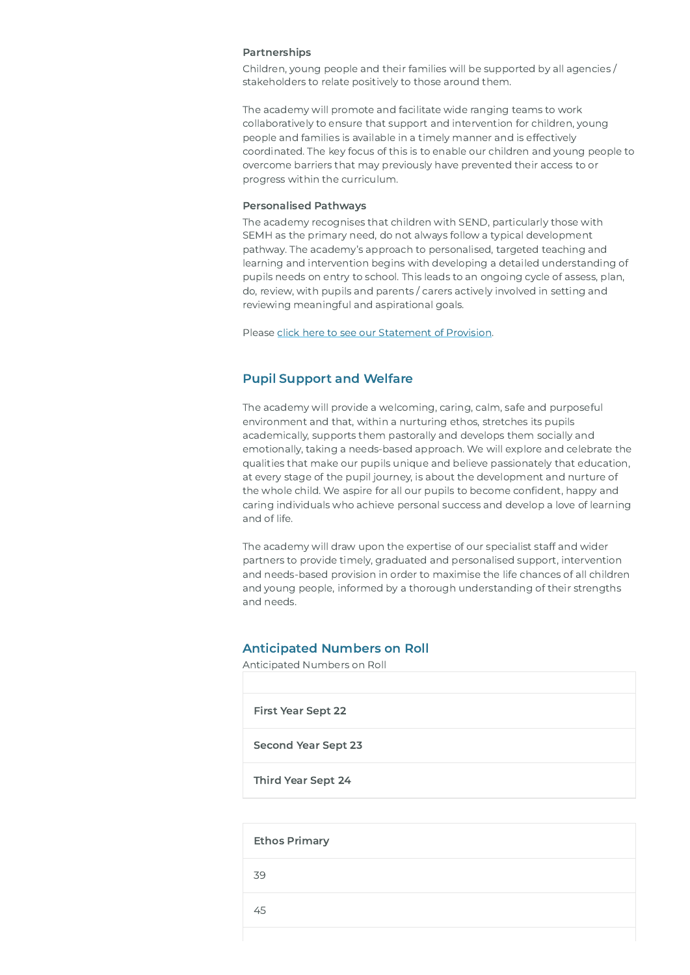#### Partnerships

Children, young people and their families will be supported by all agencies / stakeholders to relate positively to those around them.

The academy will promote and facilitate wide ranging teams to work collaboratively to ensure that support and intervention for children, young people and families is available in a timely manner and is effectively coordinated. The key focus of this is to enable our children and young people to overcome barriers that may previously have prevented their access to or progress within the curriculum.

#### Personalised Pathways

The academy recognises that children with SEND, particularly those with SEMH as the primary need, do not always follow a typical development pathway. The academy's approach to personalised, targeted teaching and learning and intervention begins with developing a detailed understanding of pupils needs on entry to school. This leads to an ongoing cycle of assess, plan, do, review, with pupils and parents / carers actively involved in setting and reviewing meaningful and aspirational goals.

Please click here to see our [Statement](https://www.eat.uk.com/wp-content/uploads/2022/04/RSFS_Statement-of-Provision_Admissions_-V1.2-DRAFT.pdf) of Provision.

## Pupil Support and Welfare

The academy will provide a welcoming, caring, calm, safe and purposeful environment and that, within a nurturing ethos, stretches its pupils academically, supports them pastorally and develops them socially and emotionally, taking a needs-based approach. We will explore and celebrate the qualities that make our pupils unique and believe passionately that education, at every stage of the pupil journey, is about the development and nurture of the whole child. We aspire for all our pupils to become confident, happy and caring individuals who achieve personal success and develop a love of learning and of life.

The academy will draw upon the expertise of our specialist staff and wider partners to provide timely, graduated and personalised support, intervention and needs-based provision in order to maximise the life chances of all children and young people, informed by a thorough understanding of their strengths and needs.

## Anticipated Numbers on Roll

Anticipated Numbers on Roll

First Year Sept 22

Second Year Sept 23

Third Year Sept 24

#### Ethos Primary

39

45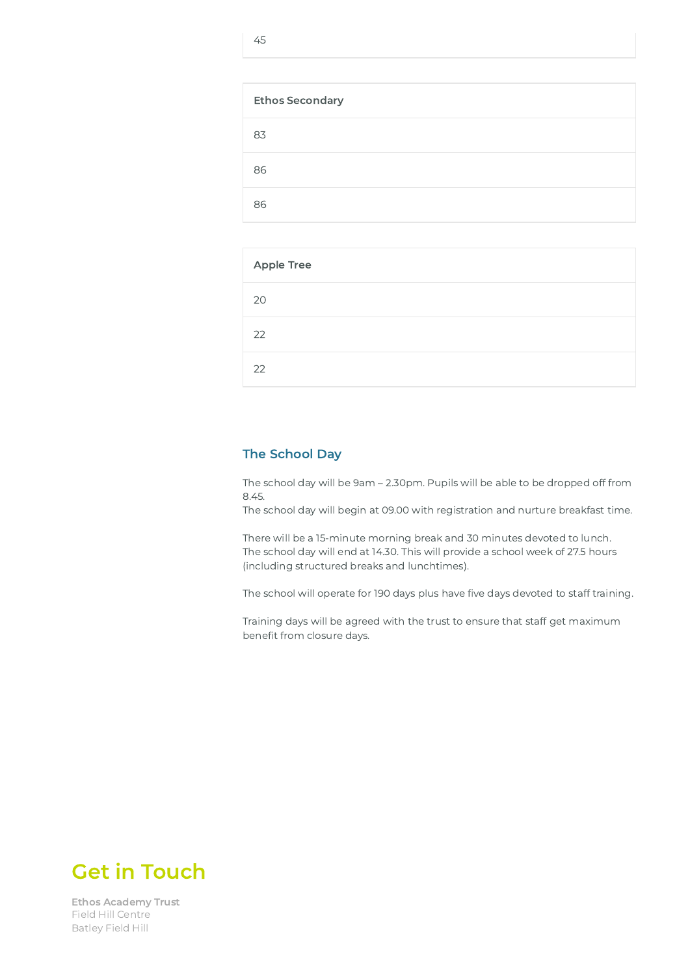# 45

| <b>Ethos Secondary</b> |  |
|------------------------|--|
| 83                     |  |
| 86                     |  |
| 86                     |  |

| <b>Apple Tree</b> |
|-------------------|
| 20                |
| 22                |
| 22                |

## The School Day

The school day will be 9am – 2.30pm. Pupils will be able to be dropped off from 8.45.

The school day will begin at 09.00 with registration and nurture breakfast time.

There will be a 15-minute morning break and 30 minutes devoted to lunch. The school day will end at 14.30. This will provide a school week of 27.5 hours (including structured breaks and lunchtimes).

The school will operate for 190 days plus have five days devoted to staff training.

Training days will be agreed with the trust to ensure that staff get maximum benefit from closure days.



Ethos Academy Trust Field Hill Centre Batley Field Hill